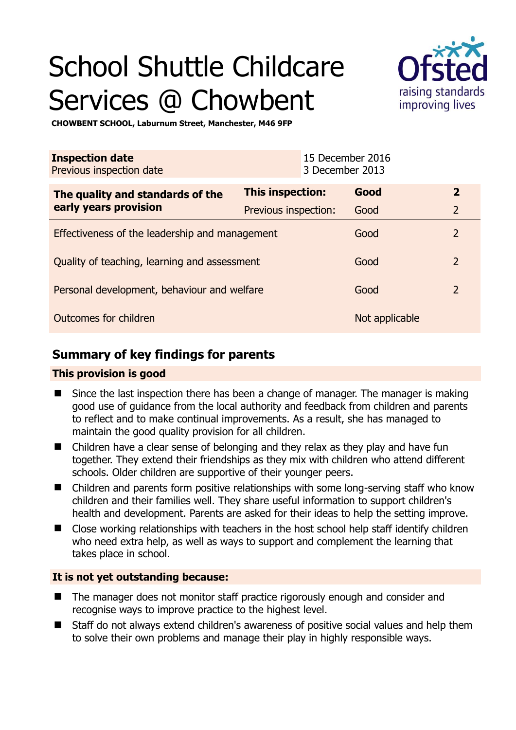# School Shuttle Childcare Services @ Chowbent



**CHOWBENT SCHOOL, Laburnum Street, Manchester, M46 9FP** 

| <b>Inspection date</b><br>Previous inspection date        |                      | 15 December 2016<br>3 December 2013 |                |                         |
|-----------------------------------------------------------|----------------------|-------------------------------------|----------------|-------------------------|
| The quality and standards of the<br>early years provision | This inspection:     |                                     | Good           | $\overline{\mathbf{2}}$ |
|                                                           | Previous inspection: |                                     | Good           | $\overline{2}$          |
| Effectiveness of the leadership and management            |                      |                                     | Good           | $\overline{2}$          |
| Quality of teaching, learning and assessment              |                      |                                     | Good           | $\overline{2}$          |
| Personal development, behaviour and welfare               |                      |                                     | Good           | $\overline{2}$          |
| Outcomes for children                                     |                      |                                     | Not applicable |                         |

# **Summary of key findings for parents**

## **This provision is good**

- Since the last inspection there has been a change of manager. The manager is making good use of guidance from the local authority and feedback from children and parents to reflect and to make continual improvements. As a result, she has managed to maintain the good quality provision for all children.
- Children have a clear sense of belonging and they relax as they play and have fun together. They extend their friendships as they mix with children who attend different schools. Older children are supportive of their younger peers.
- Children and parents form positive relationships with some long-serving staff who know children and their families well. They share useful information to support children's health and development. Parents are asked for their ideas to help the setting improve.
- Close working relationships with teachers in the host school help staff identify children who need extra help, as well as ways to support and complement the learning that takes place in school.

## **It is not yet outstanding because:**

- The manager does not monitor staff practice rigorously enough and consider and recognise ways to improve practice to the highest level.
- Staff do not always extend children's awareness of positive social values and help them to solve their own problems and manage their play in highly responsible ways.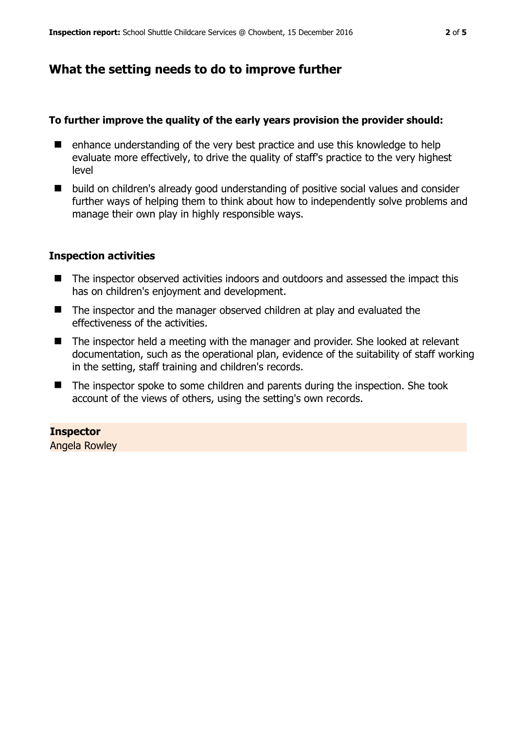# **What the setting needs to do to improve further**

## **To further improve the quality of the early years provision the provider should:**

- enhance understanding of the very best practice and use this knowledge to help evaluate more effectively, to drive the quality of staff's practice to the very highest level
- build on children's already good understanding of positive social values and consider further ways of helping them to think about how to independently solve problems and manage their own play in highly responsible ways.

# **Inspection activities**

- The inspector observed activities indoors and outdoors and assessed the impact this has on children's enjoyment and development.
- The inspector and the manager observed children at play and evaluated the effectiveness of the activities.
- The inspector held a meeting with the manager and provider. She looked at relevant documentation, such as the operational plan, evidence of the suitability of staff working in the setting, staff training and children's records.
- The inspector spoke to some children and parents during the inspection. She took account of the views of others, using the setting's own records.

# **Inspector**

Angela Rowley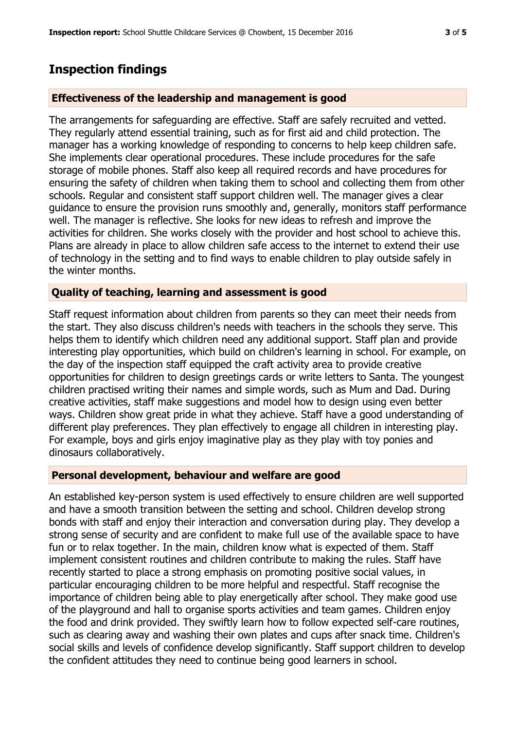# **Inspection findings**

## **Effectiveness of the leadership and management is good**

The arrangements for safeguarding are effective. Staff are safely recruited and vetted. They regularly attend essential training, such as for first aid and child protection. The manager has a working knowledge of responding to concerns to help keep children safe. She implements clear operational procedures. These include procedures for the safe storage of mobile phones. Staff also keep all required records and have procedures for ensuring the safety of children when taking them to school and collecting them from other schools. Regular and consistent staff support children well. The manager gives a clear guidance to ensure the provision runs smoothly and, generally, monitors staff performance well. The manager is reflective. She looks for new ideas to refresh and improve the activities for children. She works closely with the provider and host school to achieve this. Plans are already in place to allow children safe access to the internet to extend their use of technology in the setting and to find ways to enable children to play outside safely in the winter months.

## **Quality of teaching, learning and assessment is good**

Staff request information about children from parents so they can meet their needs from the start. They also discuss children's needs with teachers in the schools they serve. This helps them to identify which children need any additional support. Staff plan and provide interesting play opportunities, which build on children's learning in school. For example, on the day of the inspection staff equipped the craft activity area to provide creative opportunities for children to design greetings cards or write letters to Santa. The youngest children practised writing their names and simple words, such as Mum and Dad. During creative activities, staff make suggestions and model how to design using even better ways. Children show great pride in what they achieve. Staff have a good understanding of different play preferences. They plan effectively to engage all children in interesting play. For example, boys and girls enjoy imaginative play as they play with toy ponies and dinosaurs collaboratively.

## **Personal development, behaviour and welfare are good**

An established key-person system is used effectively to ensure children are well supported and have a smooth transition between the setting and school. Children develop strong bonds with staff and enjoy their interaction and conversation during play. They develop a strong sense of security and are confident to make full use of the available space to have fun or to relax together. In the main, children know what is expected of them. Staff implement consistent routines and children contribute to making the rules. Staff have recently started to place a strong emphasis on promoting positive social values, in particular encouraging children to be more helpful and respectful. Staff recognise the importance of children being able to play energetically after school. They make good use of the playground and hall to organise sports activities and team games. Children enjoy the food and drink provided. They swiftly learn how to follow expected self-care routines, such as clearing away and washing their own plates and cups after snack time. Children's social skills and levels of confidence develop significantly. Staff support children to develop the confident attitudes they need to continue being good learners in school.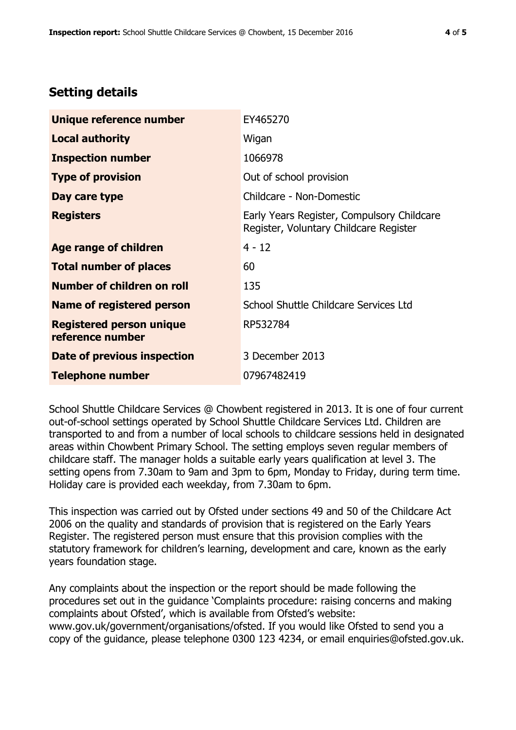# **Setting details**

| Unique reference number                             | EY465270                                                                             |  |
|-----------------------------------------------------|--------------------------------------------------------------------------------------|--|
| <b>Local authority</b>                              | Wigan                                                                                |  |
| <b>Inspection number</b>                            | 1066978                                                                              |  |
| <b>Type of provision</b>                            | Out of school provision                                                              |  |
| Day care type                                       | Childcare - Non-Domestic                                                             |  |
| <b>Registers</b>                                    | Early Years Register, Compulsory Childcare<br>Register, Voluntary Childcare Register |  |
| Age range of children                               | $4 - 12$                                                                             |  |
| <b>Total number of places</b>                       | 60                                                                                   |  |
| Number of children on roll                          | 135                                                                                  |  |
| Name of registered person                           | School Shuttle Childcare Services Ltd                                                |  |
| <b>Registered person unique</b><br>reference number | RP532784                                                                             |  |
| <b>Date of previous inspection</b>                  | 3 December 2013                                                                      |  |
| <b>Telephone number</b>                             | 07967482419                                                                          |  |

School Shuttle Childcare Services @ Chowbent registered in 2013. It is one of four current out-of-school settings operated by School Shuttle Childcare Services Ltd. Children are transported to and from a number of local schools to childcare sessions held in designated areas within Chowbent Primary School. The setting employs seven regular members of childcare staff. The manager holds a suitable early years qualification at level 3. The setting opens from 7.30am to 9am and 3pm to 6pm, Monday to Friday, during term time. Holiday care is provided each weekday, from 7.30am to 6pm.

This inspection was carried out by Ofsted under sections 49 and 50 of the Childcare Act 2006 on the quality and standards of provision that is registered on the Early Years Register. The registered person must ensure that this provision complies with the statutory framework for children's learning, development and care, known as the early years foundation stage.

Any complaints about the inspection or the report should be made following the procedures set out in the guidance 'Complaints procedure: raising concerns and making complaints about Ofsted', which is available from Ofsted's website: www.gov.uk/government/organisations/ofsted. If you would like Ofsted to send you a copy of the guidance, please telephone 0300 123 4234, or email enquiries@ofsted.gov.uk.